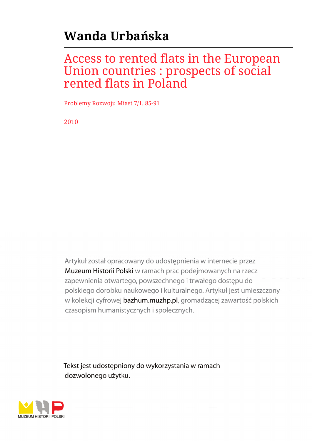# **Wanda Urbańska**

# Access to rented flats in the European Union countries : prospects of social rented flats in Poland

Problemy Rozwoju Miast 7/1, 85-91

2010

Artykuł został opracowany do udostępnienia w internecie przez Muzeum Historii Polski w ramach prac podejmowanych na rzecz zapewnienia otwartego, powszechnego i trwałego dostępu do polskiego dorobku naukowego i kulturalnego. Artykuł jest umieszczony w kolekcji cyfrowej bazhum.muzhp.pl, gromadzącej zawartość polskich czasopism humanistycznych i społecznych.

Tekst jest udostępniony do wykorzystania w ramach dozwolonego użytku.

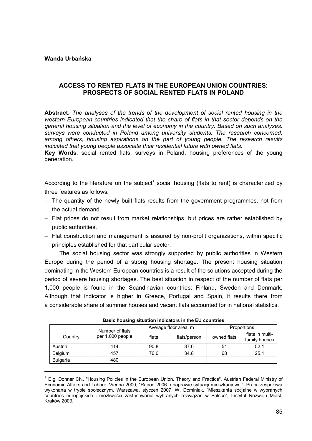#### **Wanda Urbańska**

 $\overline{a}$ 

# **ACCESS TO RENTED FLATS IN THE EUROPEAN UNION COUNTRIES: PROSPECTS OF SOCIAL RENTED FLATS IN POLAND**

**Abstract**. *The analyses of the trends of the development of social rented housing in the western European countries indicated that the share of flats in that sector depends on the general housing situation and the level of economy in the country. Based on such analyses, surveys were conducted in Poland among university students. The research concerned, among others, housing aspirations on the part of young people. The research results indicated that young people associate their residential future with owned flats.* 

**Key Words**: social rented flats, surveys in Poland, housing preferences of the young generation.

According to the literature on the subject<sup>1</sup> social housing (flats to rent) is characterized by three features as follows:

- The quantity of the newly built flats results from the government programmes, not from the actual demand.
- Flat prices do not result from market relationships, but prices are rather established by public authorities.
- Flat construction and management is assured by non-profit organizations, within specific principles established for that particular sector.

The social housing sector was strongly supported by public authorities in Western Europe during the period of a strong housing shortage. The present housing situation dominating in the Western European countries is a result of the solutions accepted during the period of severe housing shortages. The best situation in respect of the number of flats per 1,000 people is found in the Scandinavian countries: Finland, Sweden and Denmark. Although that indicator is higher in Greece, Portugal and Spain, it results there from a considerable share of summer houses and vacant flats accounted for in national statistics.

| <b>Dasit Housing Situation Indicators in the LO Countries</b> |                  |       |                       |             |                                  |  |  |  |
|---------------------------------------------------------------|------------------|-------|-----------------------|-------------|----------------------------------|--|--|--|
| Country                                                       | Number of flats  |       | Average floor area, m | Proportions |                                  |  |  |  |
|                                                               | per 1,000 people | flats | flats/person          | owned flats | flats in multi-<br>family houses |  |  |  |
| Austria                                                       | 414              | 90.8  | 37.6                  | 51          | 52.1                             |  |  |  |
| Belgium                                                       | 457              | 76.0  | 34.8                  | 68          | 25.1                             |  |  |  |
| <b>Bulgaria</b>                                               | 480              |       |                       |             |                                  |  |  |  |

**Basic housing situation indicators in the EU countries**

<sup>&</sup>lt;sup>1</sup> E.g. Donner Ch., "Housing Policies in the European Union. Theory and Practice", Austrian Federal Ministry of Economic Affairs and Labour. Vienna 2000; "Raport 2006 o naprawie sytuacji mieszkaniowej", Praca zespołowa wykonana w trybie społecznym, Warszawa, styczeń 2007; W. Dominiak, "Mieszkania socjalne w wybranych countries europejskich i możliwości zastosowania wybranych rozwiązań w Polsce", Instytut Rozwoju Miast, Kraków 2003.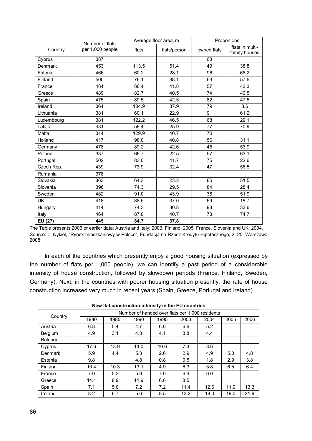|                      | Number of flats  |       | Average floor area, m | Proportions |                                  |  |
|----------------------|------------------|-------|-----------------------|-------------|----------------------------------|--|
| Country              | per 1,000 people | flats | flats/person          | owned flats | flats in multi-<br>family houses |  |
| Cyprus               | 387              |       |                       | 68          |                                  |  |
| Denmark              | 453              | 113.5 | 51.4                  | 49          | 38.8                             |  |
| Estonia              | 466              | 60.2  | 28.1                  | 96          | 68.2                             |  |
| Finland              | 500              | 76.1  | 38.1                  | 63          | 57.6                             |  |
| France               | 484              | 86.4  | 41.8                  | 57          | 43.3                             |  |
| Greece               | 489              | 82.7  | 40.5                  | 74          | 40.5                             |  |
| Spain                | 475              | 89.5  | 42.5                  | 82          | 47.5                             |  |
| Ireland              | 364              | 104.9 | 37.9                  | 79          | 8.6                              |  |
| Lithuania            | 381              | 60.1  | 22.9                  | 91          | 61.2                             |  |
| Luxembourg           | 381              | 122.2 | 46.5                  | 68          | 29.1                             |  |
| Latvia               | 431              | 59.4  | 25.9                  | 77          | 70.9                             |  |
| Malta                | 314              | 129.9 | 40.7                  | 70          |                                  |  |
| Holland              | 417              | 98.0  | 40.8                  | 56          | 31.1                             |  |
| Germany              | 478              | 89.2  | 42.6                  | 45          | 53.9                             |  |
| Poland               | 337              | 66.7  | 22.5                  | 57          | 63.1                             |  |
| Portugal             | 502              | 83.0  | 41.7                  | 75          | 22.6                             |  |
| Czech Rep.           | 439              | 73.9  | 47<br>32.4            |             | 56.5                             |  |
| Rumania              | 378              |       |                       |             |                                  |  |
| Slovakia             | 363              | 64.3  | 23.3                  | 85          | 51.5                             |  |
| Slovenia             | 398              | 74.3  | 29.5                  | 84          | 28.4                             |  |
| Sweden               | 482              | 91.0  | 43.9                  | 38          | 51.9                             |  |
| <b>UK</b>            | 418              | 88.5  | 37.0                  | 69          | 18.7                             |  |
| Hungary              | 414              | 74.3  | 30.8                  | 93          | 33.6                             |  |
| Italy                | 464              | 87.8  | 40.7                  | 73          | 74.7                             |  |
| $\overline{EU}$ (27) | 445              | 84.7  | 37.8                  |             |                                  |  |

The Table presents 2006 or earlier data: Austria and Italy: 2003, Finland: 2005, France, Slovenia and UK: 2004. Source: L. Nykiel, "Rynek mieszkaniowy w Polsce", Fundacja na Rzecz Kredytu Hipotecznego, z. 25, Warszawa 2008.

In each of the countries which presently enjoy a good housing situation (expressed by the number of flats per 1,000 people), we can identify a past period of a considerable intensity of house construction, followed by slowdown periods (France, Finland, Sweden, Germany). Next, in the countries with poorer housing situation presently, the rate of house construction increased very much in recent years (Spain, Greece, Portugal and Ireland).

| Country         |      |      |      |      | Number of handed over flats per 1,000 residents |      |      |      |
|-----------------|------|------|------|------|-------------------------------------------------|------|------|------|
|                 | 1980 | 1985 | 1990 | 1995 | 2000                                            | 2004 | 2005 | 2006 |
| Austria         | 6.8  | 5.4  | 4.7  | 6.6  | 6.6                                             | 5.2  |      |      |
| Belgium         | 4.9  | 3.1  | 4.3  | 4.1  | 3.8                                             | 4.4  |      |      |
| <b>Bulgaria</b> |      |      |      |      |                                                 |      |      |      |
| Cyprus          | 17.6 | 13.9 | 14.0 | 10.6 | 7.3                                             | 8.6  |      |      |
| Denmark         | 5.9  | 4.4  | 5.3  | 2.6  | 2.9                                             | 4.9  | 5.0  | 4.8  |
| Estonia         | 9.8  |      | 4.8  | 0.8  | 0.5                                             | 1.8  | 2.9  | 3.8  |
| Finland         | 10.4 | 10.3 | 13.1 | 4.9  | 6.3                                             | 5.8  | 6.5  | 6.4  |
| France          | 7.0  | 5.3  | 5.9  | 7.0  | 6.4                                             | 6.0  |      |      |
| Greece          | 14.1 | 8.9  | 11.9 | 6.8  | 8.5                                             |      |      |      |
| Spain           | 7.1  | 5.0  | 7.2  | 7.2  | 11.4                                            | 12.6 | 11.9 | 13.3 |
| Ireland         | 8.2  | 6.7  | 5.6  | 8.5  | 13.2                                            | 19.0 | 19.0 | 21.9 |

**New flat construction intensity in the EU countries**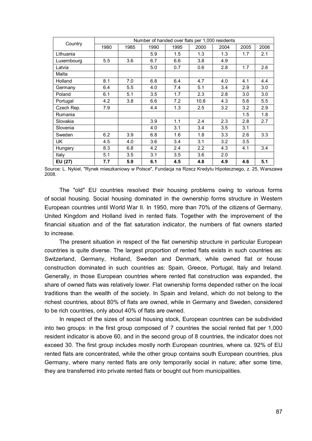| Country    |      |      |      |      | Number of handed over flats per 1,000 residents |      |      |      |  |  |  |  |
|------------|------|------|------|------|-------------------------------------------------|------|------|------|--|--|--|--|
|            | 1980 | 1985 | 1990 | 1995 | 2000                                            | 2004 | 2005 | 2006 |  |  |  |  |
| Lithuania  |      |      | 5.9  | 1.5  | 1.3                                             | 1.3  | 1.7  | 2.1  |  |  |  |  |
| Luxembourg | 5.5  | 3.6  | 6.7  | 6.6  | 3.8                                             | 4.9  |      |      |  |  |  |  |
| Latvia     |      |      | 5.0  | 0.7  | 0.6                                             | 2.8  | 1.7  | 2.6  |  |  |  |  |
| Malta      |      |      |      |      |                                                 |      |      |      |  |  |  |  |
| Holland    | 8.1  | 7.0  | 6.8  | 6.4  | 4.7                                             | 4.0  | 4.1  | 4.4  |  |  |  |  |
| Germany    | 6.4  | 5.5  | 4.0  | 7.4  | 5.1                                             | 3.4  | 2.9  | 3.0  |  |  |  |  |
| Poland     | 6.1  | 5.1  | 3.5  | 1.7  | 2.3                                             | 2.8  | 3.0  | 3.0  |  |  |  |  |
| Portugal   | 4.2  | 3.8  | 6.6  | 7.2  | 10.8                                            | 4.3  | 5.6  | 5.5  |  |  |  |  |
| Czech Rep. | 7.9  |      | 4.4  | 1.3  | 2.5                                             | 3.2  | 3.2  | 2.9  |  |  |  |  |
| Rumania    |      |      |      |      |                                                 |      | 1.5  | 1.8  |  |  |  |  |
| Slovakia   |      |      | 3.9  | 1.1  | 2.4                                             | 2.3  | 2.8  | 2.7  |  |  |  |  |
| Slovenia   |      |      | 4.0  | 3.1  | 3.4                                             | 3.5  | 3.1  |      |  |  |  |  |
| Sweden     | 6.2  | 3.9  | 6.8  | 1.6  | 1.8                                             | 3.3  | 2.6  | 3.3  |  |  |  |  |
| UK         | 4.5  | 4.0  | 3.6  | 3.4  | 3.1                                             | 3.2  | 3.5  |      |  |  |  |  |
| Hungary    | 8.3  | 6.8  | 4.2  | 2.4  | 2.2                                             | 4.3  | 4.1  | 3.4  |  |  |  |  |
| Italy      | 5.1  | 3.5  | 3.1  | 3.5  | 3.6                                             | 2.0  |      |      |  |  |  |  |
| EU (27)    | 7.7  | 5.9  | 6.1  | 4.5  | 4.8                                             | 4.9  | 4.6  | 5.1  |  |  |  |  |

Source: L. Nykiel, "Rynek mieszkaniowy w Polsce", Fundacja na Rzecz Kredytu Hipotecznego, z. 25, Warszawa 2008.

The "old" EU countries resolved their housing problems owing to various forms of social housing. Social housing dominated in the ownership forms structure in Western European countries until World War II. In 1950, more than 70% of the citizens of Germany, United Kingdom and Holland lived in rented flats. Together with the improvement of the financial situation and of the flat saturation indicator, the numbers of flat owners started to increase.

The present situation in respect of the flat ownership structure in particular European countries is quite diverse. The largest proportion of rented flats exists in such countries as: Switzerland, Germany, Holland, Sweden and Denmark, while owned flat or house construction dominated in such countries as: Spain, Greece, Portugal, Italy and Ireland. Generally, in those European countries where rented flat construction was expanded, the share of owned flats was relatively lower. Flat ownership forms depended rather on the local traditions than the wealth of the society. In Spain and Ireland, which do not belong to the richest countries, about 80% of flats are owned, while in Germany and Sweden, considered to be rich countries, only about 40% of flats are owned.

In respect of the sizes of social housing stock, European countries can be subdivided into two groups: in the first group composed of 7 countries the social rented flat per 1,000 resident indicator is above 60, and in the second group of 8 countries, the indicator does not exceed 30. The first group includes mostly north European countries, where ca. 92% of EU rented flats are concentrated, while the other group contains south European countries, plus Germany, where many rented flats are only temporarily social in nature; after some time, they are transferred into private rented flats or bought out from municipalities.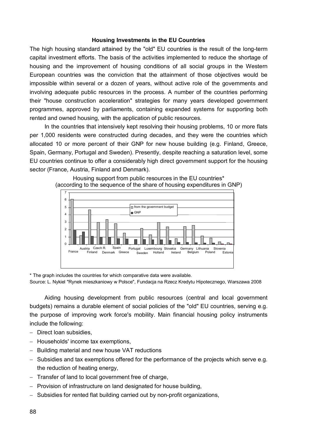## **Housing Investments in the EU Countries**

The high housing standard attained by the "old" EU countries is the result of the long-term capital investment efforts. The basis of the activities implemented to reduce the shortage of housing and the improvement of housing conditions of all social groups in the Western European countries was the conviction that the attainment of those objectives would be impossible within several or a dozen of years, without active role of the governments and involving adequate public resources in the process. A number of the countries performing their "house construction acceleration" strategies for many years developed government programmes, approved by parliaments, containing expanded systems for supporting both rented and owned housing, with the application of public resources.

In the countries that intensively kept resolving their housing problems, 10 or more flats per 1,000 residents were constructed during decades, and they were the countries which allocated 10 or more percent of their GNP for new house building (e.g. Finland, Greece, Spain, Germany, Portugal and Sweden). Presently, despite reaching a saturation level, some EU countries continue to offer a considerably high direct government support for the housing sector (France, Austria, Finland and Denmark).



Housing support from public resources in the EU countries\* (according to the sequence of the share of housing expenditures in GNP)

\* The graph includes the countries for which comparative data were available.

Source: L. Nykiel "Rynek mieszkaniowy w Polsce", Fundacja na Rzecz Kredytu Hipotecznego, Warszawa 2008

Aiding housing development from public resources (central and local government budgets) remains a durable element of social policies of the "old" EU countries, serving e.g. the purpose of improving work force's mobility. Main financial housing policy instruments include the following:

- Direct loan subsidies,
- Households' income tax exemptions,
- Building material and new house VAT reductions
- Subsidies and tax exemptions offered for the performance of the projects which serve e.g. the reduction of heating energy,
- $-$  Transfer of land to local government free of charge,
- $-$  Provision of infrastructure on land designated for house building,
- Subsidies for rented flat building carried out by non-profit organizations,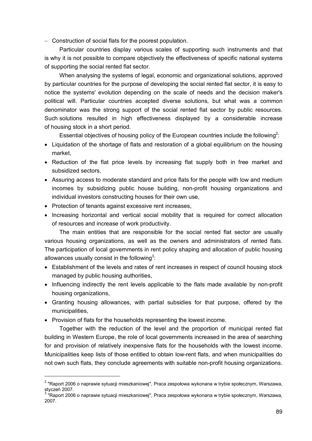- Construction of social flats for the poorest population.

Particular countries display various scales of supporting such instruments and that is why it is not possible to compare objectively the effectiveness of specific national systems of supporting the social rented flat sector.

When analysing the systems of legal, economic and organizational solutions, approved by particular countries for the purpose of developing the social rented flat sector, it is easy to notice the systems' evolution depending on the scale of needs and the decision maker's political will. Particular countries accepted diverse solutions, but what was a common denominator was the strong support of the social rented flat sector by public resources. Such solutions resulted in high effectiveness displayed by a considerable increase of housing stock in a short period.

Essential objectives of housing policy of the European countries include the following<sup>2</sup>:

- Liquidation of the shortage of flats and restoration of a global equilibrium on the housing market,
- Reduction of the flat price levels by increasing flat supply both in free market and subsidized sectors,
- Assuring access to moderate standard and price flats for the people with low and medium incomes by subsidizing public house building, non-profit housing organizations and individual investors constructing houses for their own use,
- Protection of tenants against excessive rent increases,
- Increasing horizontal and vertical social mobility that is required for correct allocation of resources and increase of work productivity.

The main entities that are responsible for the social rented flat sector are usually various housing organizations, as well as the owners and administrators of rented flats. The participation of local governments in rent policy shaping and allocation of public housing allowances usually consist in the following<sup>3</sup>:

- Establishment of the levels and rates of rent increases in respect of council housing stock managed by public housing authorities,
- Influencing indirectly the rent levels applicable to the flats made available by non-profit housing organizations,
- Granting housing allowances, with partial subsidies for that purpose, offered by the municipalities,
- Provision of flats for the households representing the lowest income.

 $\overline{a}$ 

Together with the reduction of the level and the proportion of municipal rented flat building in Western Europe, the role of local governments increased in the area of searching for and provision of relatively inexpensive flats for the households with the lowest income. Municipalities keep lists of those entitled to obtain low-rent flats, and when municipalities do not own such flats, they conclude agreements with suitable non-profit housing organizations.

<sup>&</sup>lt;sup>2</sup> "Raport 2006 o naprawie sytuacji mieszkaniowej", Praca zespołowa wykonana w trybie społecznym, Warszawa, styczeń 2007.

<sup>&</sup>lt;sup>3</sup> "Raport 2006 o naprawie sytuacji mieszkaniowej", Praca zespołowa wykonana w trybie społecznym, Warszawa, 2007.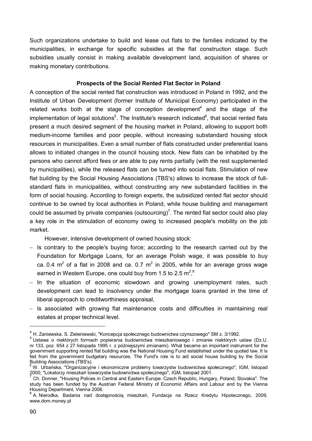Such organizations undertake to build and lease out flats to the families indicated by the municipalities, in exchange for specific subsidies at the flat construction stage. Such subsidies usually consist in making available development land, acquisition of shares or making monetary contributions.

### **Prospects of the Social Rented Flat Sector in Poland**

A conception of the social rented flat construction was introduced in Poland in 1992, and the Institute of Urban Development (former Institute of Municipal Economy) participated in the related works both at the stage of conception development $4$  and the stage of the implementation of legal solutions<sup>5</sup>. The Institute's research indicated<sup>6</sup>, that social rented flats present a much desired segment of the housing market in Poland, allowing to support both medium-income families and poor people, without increasing substandard housing stock resources in municipalities. Even a small number of flats constructed under preferential loans allows to initiated changes in the council housing stock. New flats can be inhabited by the persons who cannot afford fees or are able to pay rents partially (with the rest supplemented by municipalities), while the released flats can be turned into social flats. Stimulation of new flat building by the Social Housing Associations (TBS's) allows to increase the stock of fullstandard flats in municipalities, without constructing any new substandard facilities in the form of social housing. According to foreign experts, the subsidized rented flat sector should continue to be owned by local authorities in Poland, while house building and management could be assumed by private companies (outsourcing)<sup>7</sup>. The rented flat sector could also play a key role in the stimulation of economy owing to increased people's mobility on the job market.

However, intensive development of owned housing stock:

- $-$  Is contrary to the people's buying force; according to the research carried out by the Foundation for Mortgage Loans, for an average Polish wage, it was possible to buy ca. 0.4  $m^2$  of a flat in 2008 and ca. 0.7  $m^2$  in 2005, while for an average gross wage earned in Western Europe, one could buy from 1.5 to 2.5 m<sup>2</sup>,<sup>8</sup>
- In the situation of economic slowdown and growing unemployment rates, such development can lead to insolvency under the mortgage loans granted in the time of liberal approach to creditworthiness appraisal,
- $-$  Is associated with growing flat maintenance costs and difficulties in maintaining real estates at proper technical level.

 $\overline{a}$ 

<sup>&</sup>lt;sup>4</sup> H. Zaniewska, S. Zieleniewski, "Koncepcja społecznego budownictwa czynszowego" SM z. 3/1992.

<sup>5</sup> Ustawa o niektórych formach popierania budownictwa mieszkaniowego i zmianie niektórych ustaw (Dz.U. nr 133, poz. 654 z 27 listopada 1995 r. z późniejszymi zmianami). What became an important instrument for the government supporting rented flat building was the National Housing Fund established under the quoted law. It is fed from the government budgetary resources. The Fund's role is to aid social house building by the Social Building Associations (TBS's).

<sup>6</sup> W. Urbańska, "Organizacyjne i ekonomiczne problemy towarzystw budownictwa społecznego", IGM, listopad

<sup>2000; &</sup>quot;Lokatorzy mieszkań towarzystw budownictwa społecznego", IGM, listopad 2001.<br><sup>7</sup> Ch. Donner, "Housing Polices in Central and Eastern Europe. Czech Republic, Hungary, Poland, Slovakia". The study has been funded by the Austrian Federal Ministry of Economic Affairs and Labour and by the Vienna Housing Department, Vienna 2006.

<sup>&</sup>lt;sup>8</sup> A. Nierodka, Badania nad dostępnością mieszkań, Fundacja na Rzecz Kredytu Hipotecznego, 2009, www.dom.money.pl